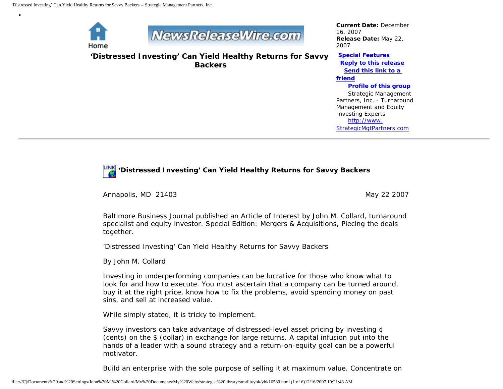

•



**'Distressed Investing' Can Yield Healthy Returns for Savvy Backers**

*Current Date:* December 16, 2007 *Release Date:* May 22, 2007

**[Special Features](javascript:openlittleme() [Reply to this release](file:///C|/Documents%20and%20Settings/John%20M.%20Collard/My%20Documents/My%20Webs/strategist%20library/stratlib/ybk/default.cfm?Action=ReplyRelease&Id=16580) [Send this link to a](file:///C|/Documents%20and%20Settings/John%20M.%20Collard/My%20Documents/My%20Webs/strategist%20library/stratlib/ybk/default.cfm?Action=SendLink&SendId=16580)  [friend](file:///C|/Documents%20and%20Settings/John%20M.%20Collard/My%20Documents/My%20Webs/strategist%20library/stratlib/ybk/default.cfm?Action=SendLink&SendId=16580) [Profile of this group](file:///C|/Documents%20and%20Settings/John%20M.%20Collard/My%20Documents/My%20Webs/strategist%20library/stratlib/ybk/default.cfm?Action=Profile&ProfileId=623)** Strategic Management Partners, Inc. - Turnaround Management and Equity Investing Experts [http://www.](http://www.strategicmgtpartners.com/) [StrategicMgtPartners.com](http://www.strategicmgtpartners.com/)

# **'Distressed Investing' Can Yield Healthy Returns for Savvy Backers**

Annapolis, MD 21403 May 22 2007

Baltimore Business Journal published an Article of Interest by John M. Collard, turnaround specialist and equity investor. Special Edition: Mergers & Acquisitions, Piecing the deals together.

'Distressed Investing' Can Yield Healthy Returns for Savvy Backers

By John M. Collard

Investing in underperforming companies can be lucrative for those who know what to look for and how to execute. You must ascertain that a company can be turned around, buy it at the right price, know how to fix the problems, avoid spending money on past sins, and sell at increased value.

While simply stated, it is tricky to implement.

Savvy investors can take advantage of distressed-level asset pricing by investing ¢ (cents) on the \$ (dollar) in exchange for large returns. A capital infusion put into the hands of a leader with a sound strategy and a return-on-equity goal can be a powerful motivator.

Build an enterprise with the sole purpose of selling it at maximum value. Concentrate on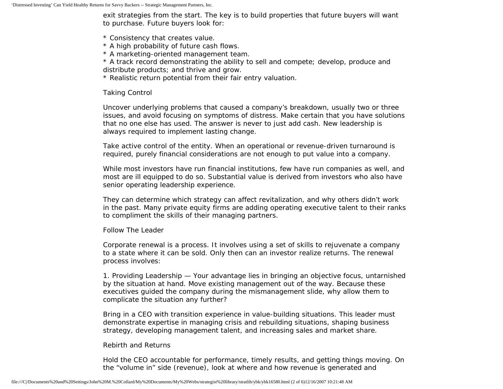exit strategies from the start. The key is to build properties that future buyers will want to purchase. Future buyers look for:

- \* Consistency that creates value.
- \* A high probability of future cash flows.
- \* A marketing-oriented management team.

\* A track record demonstrating the ability to sell and compete; develop, produce and distribute products; and thrive and grow.

\* Realistic return potential from their fair entry valuation.

#### Taking Control

Uncover underlying problems that caused a company's breakdown, usually two or three issues, and avoid focusing on symptoms of distress. Make certain that you have solutions that no one else has used. The answer is never to just add cash. New leadership is always required to implement lasting change.

Take active control of the entity. When an operational or revenue-driven turnaround is required, purely financial considerations are not enough to put value into a company.

While most investors have run financial institutions, few have run companies as well, and most are ill equipped to do so. Substantial value is derived from investors who also have senior operating leadership experience.

They can determine which strategy can affect revitalization, and why others didn't work in the past. Many private equity firms are adding operating executive talent to their ranks to compliment the skills of their managing partners.

#### Follow The Leader

Corporate renewal is a process. It involves using a set of skills to rejuvenate a company to a state where it can be sold. Only then can an investor realize returns. The renewal process involves:

1. Providing Leadership — Your advantage lies in bringing an objective focus, untarnished by the situation at hand. Move existing management out of the way. Because these executives guided the company during the mismanagement slide, why allow them to complicate the situation any further?

Bring in a CEO with transition experience in value-building situations. This leader must demonstrate expertise in managing crisis and rebuilding situations, shaping business strategy, developing management talent, and increasing sales and market share.

#### Rebirth and Returns

Hold the CEO accountable for performance, timely results, and getting things moving. On the "volume in" side (revenue), look at where and how revenue is generated and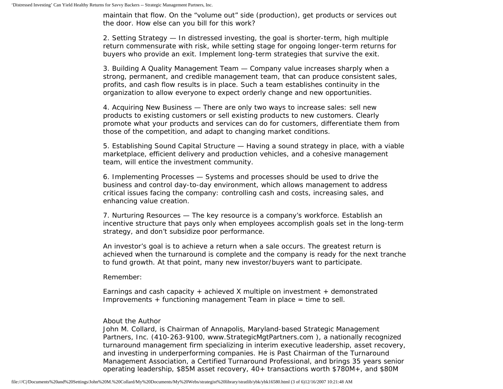maintain that flow. On the "volume out" side (production), get products or services out the door. How else can you bill for this work?

2. Setting Strategy — In distressed investing, the goal is shorter-term, high multiple return commensurate with risk, while setting stage for ongoing longer-term returns for buyers who provide an exit. Implement long-term strategies that survive the exit.

3. Building A Quality Management Team — Company value increases sharply when a strong, permanent, and credible management team, that can produce consistent sales, profits, and cash flow results is in place. Such a team establishes continuity in the organization to allow everyone to expect orderly change and new opportunities.

4. Acquiring New Business — There are only two ways to increase sales: sell new products to existing customers or sell existing products to new customers. Clearly promote what your products and services can do for customers, differentiate them from those of the competition, and adapt to changing market conditions.

5. Establishing Sound Capital Structure — Having a sound strategy in place, with a viable marketplace, efficient delivery and production vehicles, and a cohesive management team, will entice the investment community.

6. Implementing Processes — Systems and processes should be used to drive the business and control day-to-day environment, which allows management to address critical issues facing the company: controlling cash and costs, increasing sales, and enhancing value creation.

7. Nurturing Resources — The key resource is a company's workforce. Establish an incentive structure that pays only when employees accomplish goals set in the long-term strategy, and don't subsidize poor performance.

An investor's goal is to achieve a return when a sale occurs. The greatest return is achieved when the turnaround is complete and the company is ready for the next tranche to fund growth. At that point, many new investor/buyers want to participate.

Remember:

Earnings and cash capacity + achieved X multiple on investment + demonstrated Improvements + functioning management Team in place = time to sell.

### About the Author

John M. Collard, is Chairman of Annapolis, Maryland-based Strategic Management Partners, Inc. (410-263-9100, www.StrategicMgtPartners.com ), a nationally recognized turnaround management firm specializing in interim executive leadership, asset recovery, and investing in underperforming companies. He is Past Chairman of the Turnaround Management Association, a Certified Turnaround Professional, and brings 35 years senior operating leadership, \$85M asset recovery, 40+ transactions worth \$780M+, and \$80M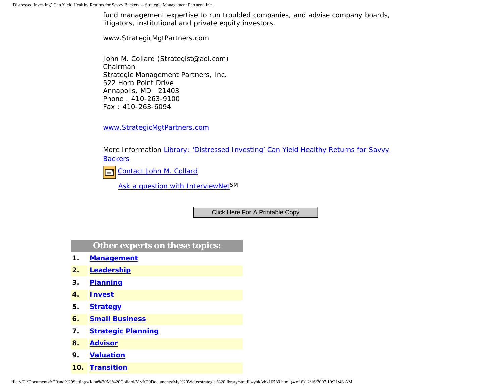'Distressed Investing' Can Yield Healthy Returns for Savvy Backers -- Strategic Management Partners, Inc.

fund management expertise to run troubled companies, and advise company boards, litigators, institutional and private equity investors.

www.StrategicMgtPartners.com

John M. Collard (Strategist@aol.com) Chairman Strategic Management Partners, Inc. 522 Horn Point Drive Annapolis, MD 21403 Phone : 410-263-9100 Fax : 410-263-6094

[www.StrategicMgtPartners.com](http://www.strategicmgtpartners.com/)

More Information [Library: 'Distressed Investing' Can Yield Healthy Returns for Savvy](http://members.aol.com/stratlib3/bbjmar07.html)  **[Backers](http://members.aol.com/stratlib3/bbjmar07.html)** 

[Contact John M. Collard](http://www.expertclick.com/expertClick/contact/default.cfm?Action=ContactExpert&GroupID=1016)  $\Box$ 

[Ask a question with InterviewNetS](http://www.expertclick.com/expertClick/contact/default.cfm?GroupID=1016)M

## **Other experts on these topics:**

- **1. [Management](http://www.expertclick.com/search/default.cfm?SearchCriteria=Management)**
- **2. [Leadership](http://www.expertclick.com/search/default.cfm?SearchCriteria=Leadership)**
- **3. [Planning](http://www.expertclick.com/search/default.cfm?SearchCriteria=Planning)**
- **4. [Invest](http://www.expertclick.com/search/default.cfm?SearchCriteria=Invest)**
- **5. [Strategy](http://www.expertclick.com/search/default.cfm?SearchCriteria=Strategy)**
- **6. [Small Business](http://www.expertclick.com/search/default.cfm?SearchCriteria=Small Business)**
- **7. [Strategic Planning](http://www.expertclick.com/search/default.cfm?SearchCriteria=Strategic Planning)**
- **8. [Advisor](http://www.expertclick.com/search/default.cfm?SearchCriteria=Advisor)**
- **9. [Valuation](http://www.expertclick.com/search/default.cfm?SearchCriteria=Valuation)**
- **10. [Transition](http://www.expertclick.com/search/default.cfm?SearchCriteria=Transition)**

File://File://File://File://File://File://File://File://File://File://File://File://File://File://File://File://File://File://File://File://File://File://File://File://File://File://File://File://File://File://File://File: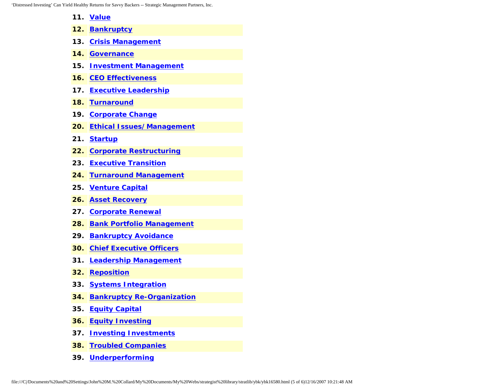'Distressed Investing' Can Yield Healthy Returns for Savvy Backers -- Strategic Management Partners, Inc.

- **11. [Value](http://www.expertclick.com/search/default.cfm?SearchCriteria=Value)**
- **12. [Bankruptcy](http://www.expertclick.com/search/default.cfm?SearchCriteria=Bankruptcy)**
- **13. [Crisis Management](http://www.expertclick.com/search/default.cfm?SearchCriteria=Crisis Management)**
- **14. [Governance](http://www.expertclick.com/search/default.cfm?SearchCriteria=Governance)**
- **15. [Investment Management](http://www.expertclick.com/search/default.cfm?SearchCriteria=Investment Management)**
- **16. [CEO Effectiveness](http://www.expertclick.com/search/default.cfm?SearchCriteria=CEO Effectiveness)**
- **17. [Executive Leadership](http://www.expertclick.com/search/default.cfm?SearchCriteria=Executive Leadership)**
- **18. [Turnaround](http://www.expertclick.com/search/default.cfm?SearchCriteria=Turnaround)**
- **19. [Corporate Change](http://www.expertclick.com/search/default.cfm?SearchCriteria=Corporate Change)**
- **20. [Ethical Issues/Management](http://www.expertclick.com/search/default.cfm?SearchCriteria=Ethical Issues/Management)**
- **21. [Startup](http://www.expertclick.com/search/default.cfm?SearchCriteria=Startup)**
- **22. [Corporate Restructuring](http://www.expertclick.com/search/default.cfm?SearchCriteria=Corporate Restructuring)**
- **23. [Executive Transition](http://www.expertclick.com/search/default.cfm?SearchCriteria=Executive Transition)**
- **24. [Turnaround Management](http://www.expertclick.com/search/default.cfm?SearchCriteria=Turnaround Management)**
- **25. [Venture Capital](http://www.expertclick.com/search/default.cfm?SearchCriteria=Venture Capital)**
- **26. [Asset Recovery](http://www.expertclick.com/search/default.cfm?SearchCriteria=Asset Recovery)**
- **27. [Corporate Renewal](http://www.expertclick.com/search/default.cfm?SearchCriteria=Corporate Renewal)**
- **28. [Bank Portfolio Management](http://www.expertclick.com/search/default.cfm?SearchCriteria=Bank Portfolio Management)**
- **29. [Bankruptcy Avoidance](http://www.expertclick.com/search/default.cfm?SearchCriteria=Bankruptcy Avoidance)**
- **30. [Chief Executive Officers](http://www.expertclick.com/search/default.cfm?SearchCriteria=Chief Executive Officers)**
- **31. [Leadership Management](http://www.expertclick.com/search/default.cfm?SearchCriteria=Leadership Management)**
- **32. [Reposition](http://www.expertclick.com/search/default.cfm?SearchCriteria=Reposition)**
- **33. [Systems Integration](http://www.expertclick.com/search/default.cfm?SearchCriteria=Systems Integration)**
- **34. [Bankruptcy Re-Organization](http://www.expertclick.com/search/default.cfm?SearchCriteria=Bankruptcy Re-Organization)**
- **35. [Equity Capital](http://www.expertclick.com/search/default.cfm?SearchCriteria=Equity Capital)**
- **36. [Equity Investing](http://www.expertclick.com/search/default.cfm?SearchCriteria=Equity Investing)**
- **37. [Investing Investments](http://www.expertclick.com/search/default.cfm?SearchCriteria=Investing Investments)**
- **38. [Troubled Companies](http://www.expertclick.com/search/default.cfm?SearchCriteria=Troubled Companies)**
- **39. [Underperforming](http://www.expertclick.com/search/default.cfm?SearchCriteria=Underperforming)**